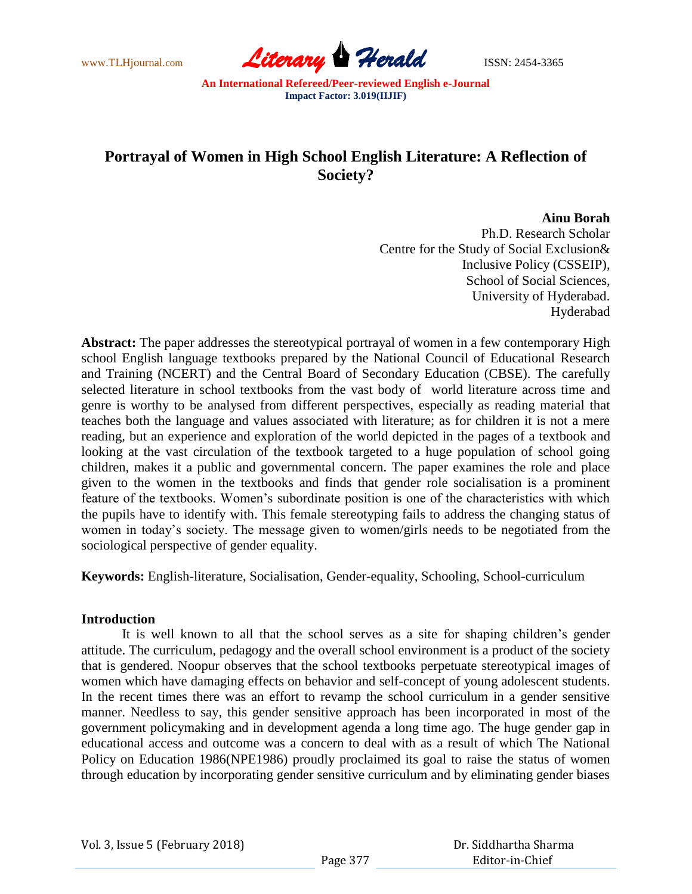

# **Portrayal of Women in High School English Literature: A Reflection of Society?**

## **Ainu Borah**

Ph.D. Research Scholar Centre for the Study of Social Exclusion& Inclusive Policy (CSSEIP), School of Social Sciences, University of Hyderabad. Hyderabad

**Abstract:** The paper addresses the stereotypical portrayal of women in a few contemporary High school English language textbooks prepared by the National Council of Educational Research and Training (NCERT) and the Central Board of Secondary Education (CBSE). The carefully selected literature in school textbooks from the vast body of world literature across time and genre is worthy to be analysed from different perspectives, especially as reading material that teaches both the language and values associated with literature; as for children it is not a mere reading, but an experience and exploration of the world depicted in the pages of a textbook and looking at the vast circulation of the textbook targeted to a huge population of school going children, makes it a public and governmental concern. The paper examines the role and place given to the women in the textbooks and finds that gender role socialisation is a prominent feature of the textbooks. Women"s subordinate position is one of the characteristics with which the pupils have to identify with. This female stereotyping fails to address the changing status of women in today"s society. The message given to women/girls needs to be negotiated from the sociological perspective of gender equality.

**Keywords:** English-literature, Socialisation, Gender-equality, Schooling, School-curriculum

#### **Introduction**

It is well known to all that the school serves as a site for shaping children"s gender attitude. The curriculum, pedagogy and the overall school environment is a product of the society that is gendered. Noopur observes that the school textbooks perpetuate stereotypical images of women which have damaging effects on behavior and self-concept of young adolescent students. In the recent times there was an effort to revamp the school curriculum in a gender sensitive manner. Needless to say, this gender sensitive approach has been incorporated in most of the government policymaking and in development agenda a long time ago. The huge gender gap in educational access and outcome was a concern to deal with as a result of which The National Policy on Education 1986(NPE1986) proudly proclaimed its goal to raise the status of women through education by incorporating gender sensitive curriculum and by eliminating gender biases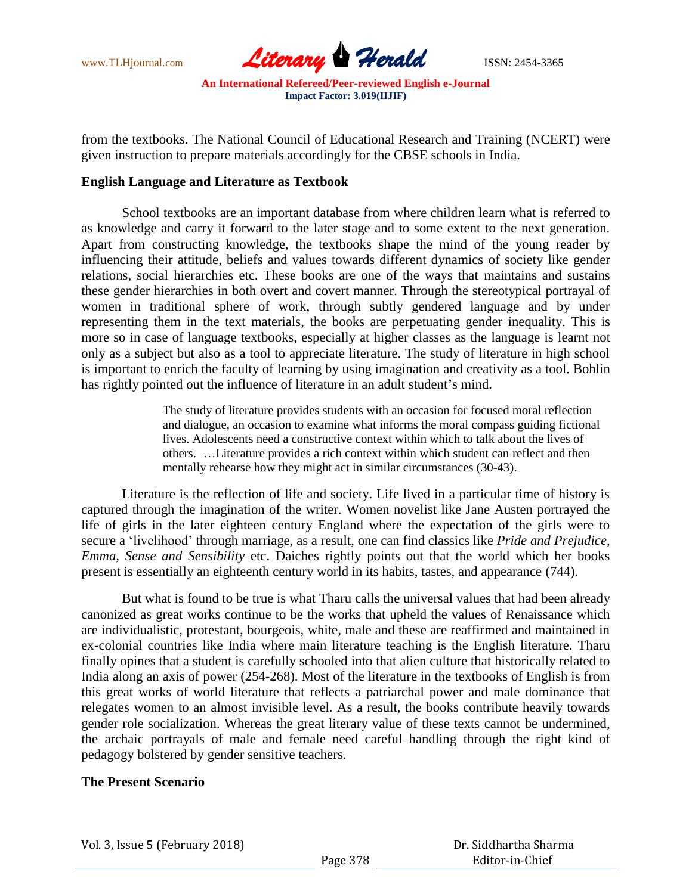

from the textbooks. The National Council of Educational Research and Training (NCERT) were given instruction to prepare materials accordingly for the CBSE schools in India.

## **English Language and Literature as Textbook**

School textbooks are an important database from where children learn what is referred to as knowledge and carry it forward to the later stage and to some extent to the next generation. Apart from constructing knowledge, the textbooks shape the mind of the young reader by influencing their attitude, beliefs and values towards different dynamics of society like gender relations, social hierarchies etc. These books are one of the ways that maintains and sustains these gender hierarchies in both overt and covert manner. Through the stereotypical portrayal of women in traditional sphere of work, through subtly gendered language and by under representing them in the text materials, the books are perpetuating gender inequality. This is more so in case of language textbooks, especially at higher classes as the language is learnt not only as a subject but also as a tool to appreciate literature. The study of literature in high school is important to enrich the faculty of learning by using imagination and creativity as a tool. Bohlin has rightly pointed out the influence of literature in an adult student's mind.

> The study of literature provides students with an occasion for focused moral reflection and dialogue, an occasion to examine what informs the moral compass guiding fictional lives. Adolescents need a constructive context within which to talk about the lives of others. …Literature provides a rich context within which student can reflect and then mentally rehearse how they might act in similar circumstances (30-43).

Literature is the reflection of life and society. Life lived in a particular time of history is captured through the imagination of the writer. Women novelist like Jane Austen portrayed the life of girls in the later eighteen century England where the expectation of the girls were to secure a "livelihood" through marriage, as a result, one can find classics like *Pride and Prejudice, Emma, Sense and Sensibility* etc. Daiches rightly points out that the world which her books present is essentially an eighteenth century world in its habits, tastes, and appearance (744).

But what is found to be true is what Tharu calls the universal values that had been already canonized as great works continue to be the works that upheld the values of Renaissance which are individualistic, protestant, bourgeois, white, male and these are reaffirmed and maintained in ex-colonial countries like India where main literature teaching is the English literature. Tharu finally opines that a student is carefully schooled into that alien culture that historically related to India along an axis of power (254-268). Most of the literature in the textbooks of English is from this great works of world literature that reflects a patriarchal power and male dominance that relegates women to an almost invisible level. As a result, the books contribute heavily towards gender role socialization. Whereas the great literary value of these texts cannot be undermined, the archaic portrayals of male and female need careful handling through the right kind of pedagogy bolstered by gender sensitive teachers.

# **The Present Scenario**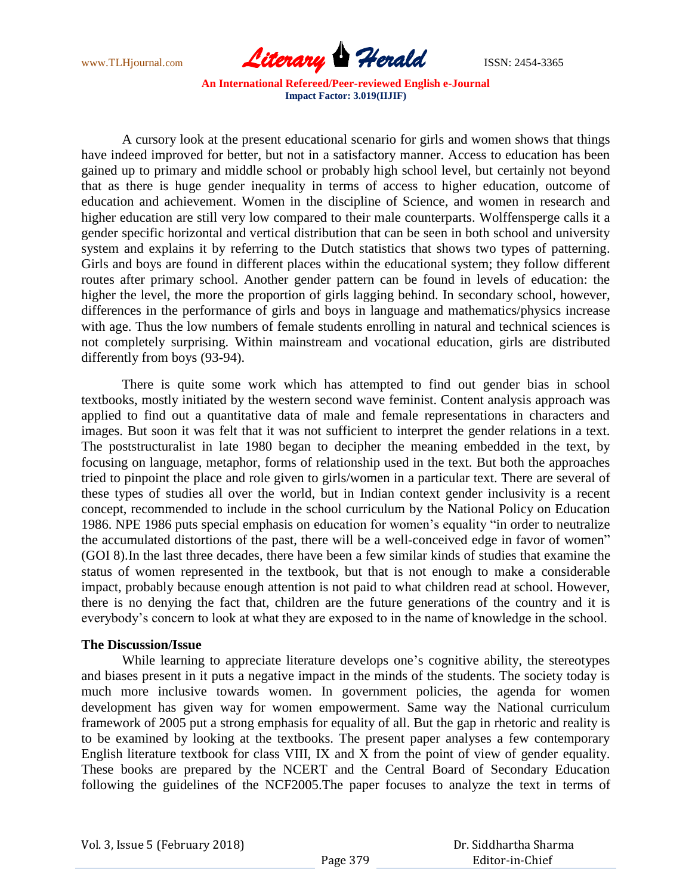

A cursory look at the present educational scenario for girls and women shows that things have indeed improved for better, but not in a satisfactory manner. Access to education has been gained up to primary and middle school or probably high school level, but certainly not beyond that as there is huge gender inequality in terms of access to higher education, outcome of education and achievement. Women in the discipline of Science, and women in research and higher education are still very low compared to their male counterparts. Wolffensperge calls it a gender specific horizontal and vertical distribution that can be seen in both school and university system and explains it by referring to the Dutch statistics that shows two types of patterning. Girls and boys are found in different places within the educational system; they follow different routes after primary school. Another gender pattern can be found in levels of education: the higher the level, the more the proportion of girls lagging behind. In secondary school, however, differences in the performance of girls and boys in language and mathematics/physics increase with age. Thus the low numbers of female students enrolling in natural and technical sciences is not completely surprising. Within mainstream and vocational education, girls are distributed differently from boys (93-94).

There is quite some work which has attempted to find out gender bias in school textbooks, mostly initiated by the western second wave feminist. Content analysis approach was applied to find out a quantitative data of male and female representations in characters and images. But soon it was felt that it was not sufficient to interpret the gender relations in a text. The poststructuralist in late 1980 began to decipher the meaning embedded in the text, by focusing on language, metaphor, forms of relationship used in the text. But both the approaches tried to pinpoint the place and role given to girls/women in a particular text. There are several of these types of studies all over the world, but in Indian context gender inclusivity is a recent concept, recommended to include in the school curriculum by the National Policy on Education 1986. NPE 1986 puts special emphasis on education for women"s equality "in order to neutralize the accumulated distortions of the past, there will be a well-conceived edge in favor of women" (GOI 8).In the last three decades, there have been a few similar kinds of studies that examine the status of women represented in the textbook, but that is not enough to make a considerable impact, probably because enough attention is not paid to what children read at school. However, there is no denying the fact that, children are the future generations of the country and it is everybody"s concern to look at what they are exposed to in the name of knowledge in the school.

## **The Discussion/Issue**

While learning to appreciate literature develops one"s cognitive ability, the stereotypes and biases present in it puts a negative impact in the minds of the students. The society today is much more inclusive towards women. In government policies, the agenda for women development has given way for women empowerment. Same way the National curriculum framework of 2005 put a strong emphasis for equality of all. But the gap in rhetoric and reality is to be examined by looking at the textbooks. The present paper analyses a few contemporary English literature textbook for class VIII, IX and X from the point of view of gender equality. These books are prepared by the NCERT and the Central Board of Secondary Education following the guidelines of the NCF2005.The paper focuses to analyze the text in terms of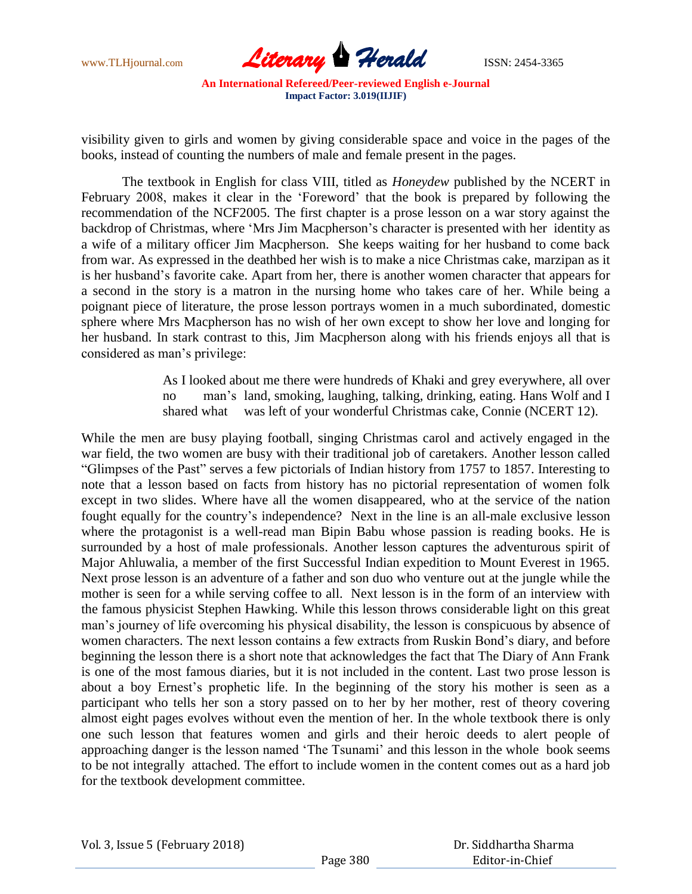

visibility given to girls and women by giving considerable space and voice in the pages of the books, instead of counting the numbers of male and female present in the pages.

The textbook in English for class VIII, titled as *Honeydew* published by the NCERT in February 2008, makes it clear in the "Foreword" that the book is prepared by following the recommendation of the NCF2005. The first chapter is a prose lesson on a war story against the backdrop of Christmas, where 'Mrs Jim Macpherson's character is presented with her identity as a wife of a military officer Jim Macpherson. She keeps waiting for her husband to come back from war. As expressed in the deathbed her wish is to make a nice Christmas cake, marzipan as it is her husband"s favorite cake. Apart from her, there is another women character that appears for a second in the story is a matron in the nursing home who takes care of her. While being a poignant piece of literature, the prose lesson portrays women in a much subordinated, domestic sphere where Mrs Macpherson has no wish of her own except to show her love and longing for her husband. In stark contrast to this, Jim Macpherson along with his friends enjoys all that is considered as man"s privilege:

> As I looked about me there were hundreds of Khaki and grey everywhere, all over man's land, smoking, laughing, talking, drinking, eating. Hans Wolf and I shared what was left of your wonderful Christmas cake, Connie (NCERT 12).

While the men are busy playing football, singing Christmas carol and actively engaged in the war field, the two women are busy with their traditional job of caretakers. Another lesson called "Glimpses of the Past" serves a few pictorials of Indian history from 1757 to 1857. Interesting to note that a lesson based on facts from history has no pictorial representation of women folk except in two slides. Where have all the women disappeared, who at the service of the nation fought equally for the country"s independence? Next in the line is an all-male exclusive lesson where the protagonist is a well-read man Bipin Babu whose passion is reading books. He is surrounded by a host of male professionals. Another lesson captures the adventurous spirit of Major Ahluwalia, a member of the first Successful Indian expedition to Mount Everest in 1965. Next prose lesson is an adventure of a father and son duo who venture out at the jungle while the mother is seen for a while serving coffee to all. Next lesson is in the form of an interview with the famous physicist Stephen Hawking. While this lesson throws considerable light on this great man"s journey of life overcoming his physical disability, the lesson is conspicuous by absence of women characters. The next lesson contains a few extracts from Ruskin Bond"s diary, and before beginning the lesson there is a short note that acknowledges the fact that The Diary of Ann Frank is one of the most famous diaries, but it is not included in the content. Last two prose lesson is about a boy Ernest"s prophetic life. In the beginning of the story his mother is seen as a participant who tells her son a story passed on to her by her mother, rest of theory covering almost eight pages evolves without even the mention of her. In the whole textbook there is only one such lesson that features women and girls and their heroic deeds to alert people of approaching danger is the lesson named 'The Tsunami' and this lesson in the whole book seems to be not integrally attached. The effort to include women in the content comes out as a hard job for the textbook development committee.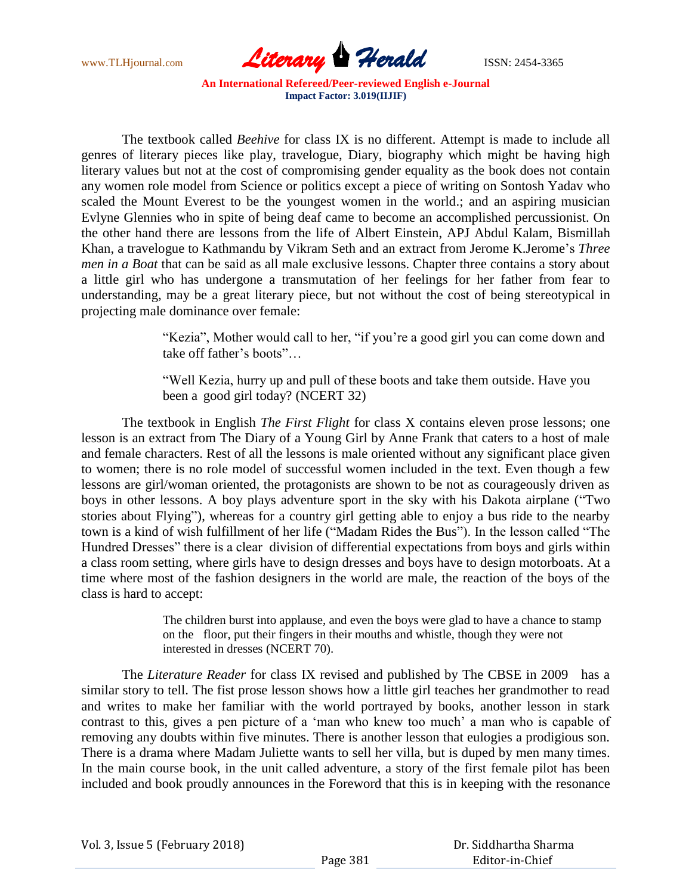

The textbook called *Beehive* for class IX is no different. Attempt is made to include all genres of literary pieces like play, travelogue, Diary, biography which might be having high literary values but not at the cost of compromising gender equality as the book does not contain any women role model from Science or politics except a piece of writing on Sontosh Yadav who scaled the Mount Everest to be the youngest women in the world.; and an aspiring musician Evlyne Glennies who in spite of being deaf came to become an accomplished percussionist. On the other hand there are lessons from the life of Albert Einstein, APJ Abdul Kalam, Bismillah Khan, a travelogue to Kathmandu by Vikram Seth and an extract from Jerome K.Jerome"s *Three men in a Boat* that can be said as all male exclusive lessons. Chapter three contains a story about a little girl who has undergone a transmutation of her feelings for her father from fear to understanding, may be a great literary piece, but not without the cost of being stereotypical in projecting male dominance over female:

> "Kezia", Mother would call to her, "if you"re a good girl you can come down and take off father's boots"...

"Well Kezia, hurry up and pull of these boots and take them outside. Have you been a good girl today? (NCERT 32)

The textbook in English *The First Flight* for class X contains eleven prose lessons; one lesson is an extract from The Diary of a Young Girl by Anne Frank that caters to a host of male and female characters. Rest of all the lessons is male oriented without any significant place given to women; there is no role model of successful women included in the text. Even though a few lessons are girl/woman oriented, the protagonists are shown to be not as courageously driven as boys in other lessons. A boy plays adventure sport in the sky with his Dakota airplane ("Two stories about Flying"), whereas for a country girl getting able to enjoy a bus ride to the nearby town is a kind of wish fulfillment of her life ("Madam Rides the Bus"). In the lesson called "The Hundred Dresses" there is a clear division of differential expectations from boys and girls within a class room setting, where girls have to design dresses and boys have to design motorboats. At a time where most of the fashion designers in the world are male, the reaction of the boys of the class is hard to accept:

> The children burst into applause, and even the boys were glad to have a chance to stamp on the floor, put their fingers in their mouths and whistle, though they were not interested in dresses (NCERT 70).

The *Literature Reader* for class IX revised and published by The CBSE in 2009 has a similar story to tell. The fist prose lesson shows how a little girl teaches her grandmother to read and writes to make her familiar with the world portrayed by books, another lesson in stark contrast to this, gives a pen picture of a "man who knew too much" a man who is capable of removing any doubts within five minutes. There is another lesson that eulogies a prodigious son. There is a drama where Madam Juliette wants to sell her villa, but is duped by men many times. In the main course book, in the unit called adventure, a story of the first female pilot has been included and book proudly announces in the Foreword that this is in keeping with the resonance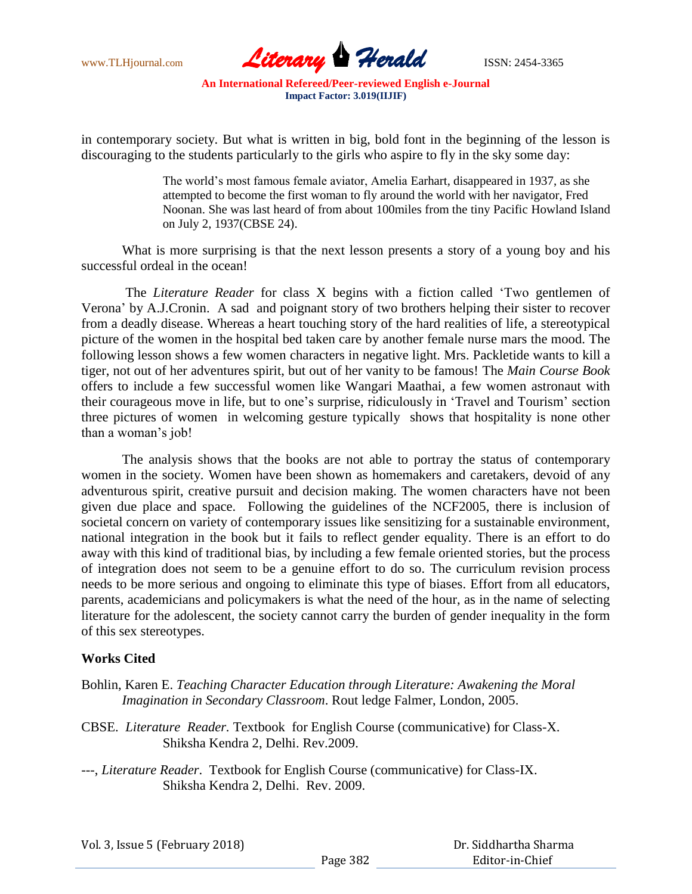

in contemporary society. But what is written in big, bold font in the beginning of the lesson is discouraging to the students particularly to the girls who aspire to fly in the sky some day:

> The world"s most famous female aviator, Amelia Earhart, disappeared in 1937, as she attempted to become the first woman to fly around the world with her navigator, Fred Noonan. She was last heard of from about 100miles from the tiny Pacific Howland Island on July 2, 1937(CBSE 24).

What is more surprising is that the next lesson presents a story of a young boy and his successful ordeal in the ocean!

The *Literature Reader* for class X begins with a fiction called "Two gentlemen of Verona" by A.J.Cronin. A sad and poignant story of two brothers helping their sister to recover from a deadly disease. Whereas a heart touching story of the hard realities of life, a stereotypical picture of the women in the hospital bed taken care by another female nurse mars the mood. The following lesson shows a few women characters in negative light. Mrs. Packletide wants to kill a tiger, not out of her adventures spirit, but out of her vanity to be famous! The *Main Course Book*  offers to include a few successful women like Wangari Maathai, a few women astronaut with their courageous move in life, but to one"s surprise, ridiculously in "Travel and Tourism" section three pictures of women in welcoming gesture typically shows that hospitality is none other than a woman's job!

The analysis shows that the books are not able to portray the status of contemporary women in the society. Women have been shown as homemakers and caretakers, devoid of any adventurous spirit, creative pursuit and decision making. The women characters have not been given due place and space. Following the guidelines of the NCF2005, there is inclusion of societal concern on variety of contemporary issues like sensitizing for a sustainable environment, national integration in the book but it fails to reflect gender equality. There is an effort to do away with this kind of traditional bias, by including a few female oriented stories, but the process of integration does not seem to be a genuine effort to do so. The curriculum revision process needs to be more serious and ongoing to eliminate this type of biases. Effort from all educators, parents, academicians and policymakers is what the need of the hour, as in the name of selecting literature for the adolescent, the society cannot carry the burden of gender inequality in the form of this sex stereotypes.

# **Works Cited**

- Bohlin, Karen E. *Teaching Character Education through Literature: Awakening the Moral Imagination in Secondary Classroom*. Rout ledge Falmer, London, 2005.
- CBSE. *Literature Reader.* Textbook for English Course (communicative) for Class-X. Shiksha Kendra 2, Delhi. Rev.2009.
- ---, *Literature Reader*. Textbook for English Course (communicative) for Class-IX. Shiksha Kendra 2, Delhi. Rev. 2009.

| Vol. 3, Issue 5 (February 2018) |          | Dr. Siddhartha Sharma |
|---------------------------------|----------|-----------------------|
|                                 | Page 382 | Editor-in-Chief       |